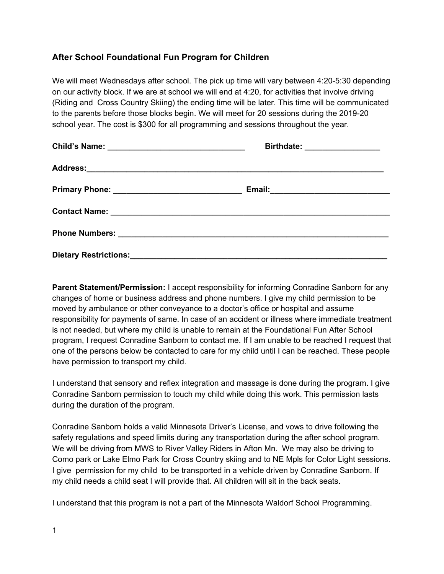## **After School Foundational Fun Program for Children**

We will meet Wednesdays after school. The pick up time will vary between 4:20-5:30 depending on our activity block. If we are at school we will end at 4:20, for activities that involve driving (Riding and Cross Country Skiing) the ending time will be later. This time will be communicated to the parents before those blocks begin. We will meet for 20 sessions during the 2019-20 school year. The cost is \$300 for all programming and sessions throughout the year.

| Birthdate: __________________                                                                                                                                                                                                  |  |
|--------------------------------------------------------------------------------------------------------------------------------------------------------------------------------------------------------------------------------|--|
|                                                                                                                                                                                                                                |  |
|                                                                                                                                                                                                                                |  |
| Contact Name: Name: Name: Name: Name: Name: Name: Name: Name: Name: Name: Name: Name: Name: Name: Name: Name: Name: Name: Name: Name: Name: Name: Name: Name: Name: Name: Name: Name: Name: Name: Name: Name: Name: Name: Name |  |
|                                                                                                                                                                                                                                |  |
|                                                                                                                                                                                                                                |  |

**Parent Statement/Permission:** I accept responsibility for informing Conradine Sanborn for any changes of home or business address and phone numbers. I give my child permission to be moved by ambulance or other conveyance to a doctor's office or hospital and assume responsibility for payments of same. In case of an accident or illness where immediate treatment is not needed, but where my child is unable to remain at the Foundational Fun After School program, I request Conradine Sanborn to contact me. If I am unable to be reached I request that one of the persons below be contacted to care for my child until I can be reached. These people have permission to transport my child.

I understand that sensory and reflex integration and massage is done during the program. I give Conradine Sanborn permission to touch my child while doing this work. This permission lasts during the duration of the program.

Conradine Sanborn holds a valid Minnesota Driver's License, and vows to drive following the safety regulations and speed limits during any transportation during the after school program. We will be driving from MWS to River Valley Riders in Afton Mn. We may also be driving to Como park or Lake Elmo Park for Cross Country skiing and to NE Mpls for Color Light sessions. I give permission for my child to be transported in a vehicle driven by Conradine Sanborn. If my child needs a child seat I will provide that. All children will sit in the back seats.

I understand that this program is not a part of the Minnesota Waldorf School Programming.